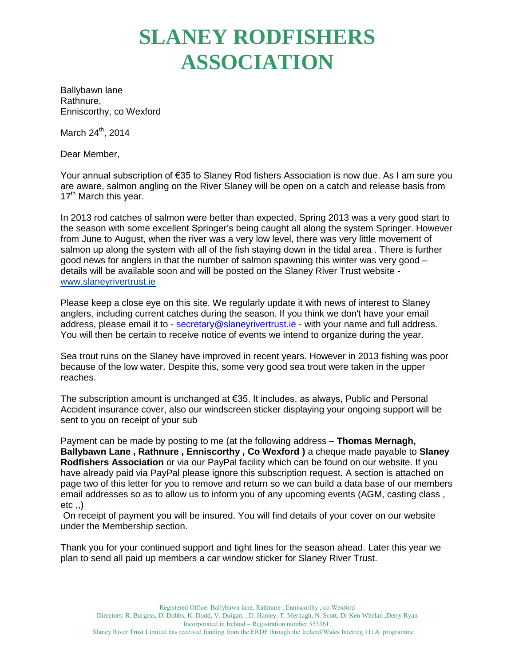## **SLANEY RODFISHERS ASSOCIATION**

Ballybawn lane Rathnure, Enniscorthy, co Wexford

March 24<sup>th</sup>, 2014

Dear Member,

Your annual subscription of €35 to Slaney Rod fishers Association is now due. As I am sure you are aware, salmon angling on the River Slaney will be open on a catch and release basis from  $17<sup>th</sup>$  March this year.

In 2013 rod catches of salmon were better than expected. Spring 2013 was a very good start to the season with some excellent Springer's being caught all along the system Springer. However from June to August, when the river was a very low level, there was very little movement of salmon up along the system with all of the fish staying down in the tidal area . There is further good news for anglers in that the number of salmon spawning this winter was very good – details will be available soon and will be posted on the Slaney River Trust website [www.slaneyrivertrust.ie](http://www.slaneyrivertrust.ie/)

Please keep a close eye on this site. We regularly update it with news of interest to Slaney anglers, including current catches during the season. If you think we don't have your email address, please email it to - secretary@slaneyrivertrust.ie - with your name and full address. You will then be certain to receive notice of events we intend to organize during the year.

Sea trout runs on the Slaney have improved in recent years. However in 2013 fishing was poor because of the low water. Despite this, some very good sea trout were taken in the upper reaches.

The subscription amount is unchanged at €35. It includes, as always, Public and Personal Accident insurance cover, also our windscreen sticker displaying your ongoing support will be sent to you on receipt of your sub

Payment can be made by posting to me (at the following address – **Thomas Mernagh, Ballybawn Lane , Rathnure , Enniscorthy , Co Wexford )** a cheque made payable to **Slaney Rodfishers Association** or via our PayPal facility which can be found on our website. If you have already paid via PayPal please ignore this subscription request. A section is attached on page two of this letter for you to remove and return so we can build a data base of our members email addresses so as to allow us to inform you of any upcoming events (AGM, casting class ,  $etc.$ .)

On receipt of payment you will be insured. You will find details of your cover on our website under the Membership section.

Thank you for your continued support and tight lines for the season ahead. Later this year we plan to send all paid up members a car window sticker for Slaney River Trust.